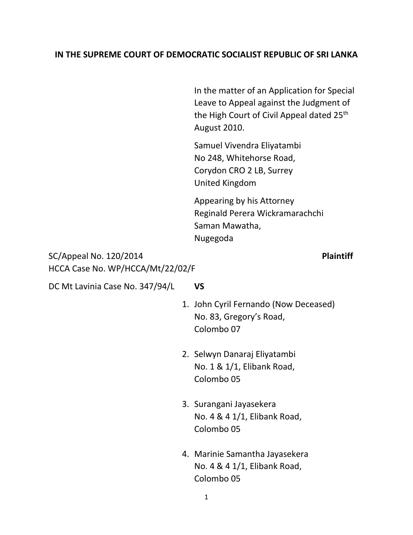## **IN THE SUPREME COURT OF DEMOCRATIC SOCIALIST REPUBLIC OF SRI LANKA**

In the matter of an Application for Special Leave to Appeal against the Judgment of the High Court of Civil Appeal dated 25<sup>th</sup> August 2010.

Samuel Vivendra Eliyatambi No 248, Whitehorse Road, Corydon CRO 2 LB, Surrey United Kingdom

Appearing by his Attorney Reginald Perera Wickramarachchi Saman Mawatha, Nugegoda

SC/Appeal No. 120/2014 **Plaintiff**  HCCA Case No. WP/HCCA/Mt/22/02/F

DC Mt Lavinia Case No. 347/94/L **VS**

- 1. John Cyril Fernando (Now Deceased) No. 83, Gregory's Road, Colombo 07
- 2. Selwyn Danaraj Eliyatambi No. 1 & 1/1, Elibank Road, Colombo 05
- 3. Surangani Jayasekera No. 4 & 4 1/1, Elibank Road, Colombo 05
- 4. Marinie Samantha Jayasekera No. 4 & 4 1/1, Elibank Road, Colombo 05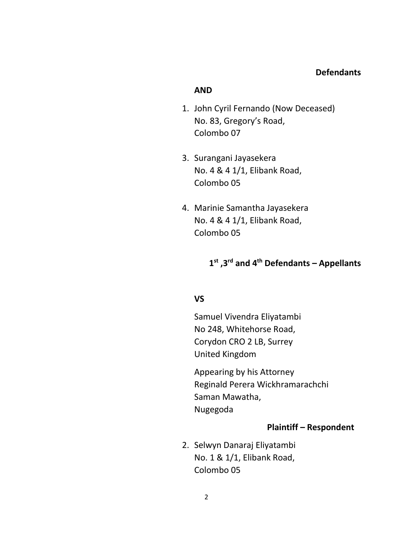#### **AND**

- 1. John Cyril Fernando (Now Deceased) No. 83, Gregory's Road, Colombo 07
- 3. Surangani Jayasekera No. 4 & 4 1/1, Elibank Road, Colombo 05
- 4. Marinie Samantha Jayasekera No. 4 & 4 1/1, Elibank Road, Colombo 05

## **1 st ,3rd and 4th Defendants – Appellants**

## **VS**

Samuel Vivendra Eliyatambi No 248, Whitehorse Road, Corydon CRO 2 LB, Surrey United Kingdom

Appearing by his Attorney Reginald Perera Wickhramarachchi Saman Mawatha, Nugegoda

#### **Plaintiff – Respondent**

2. Selwyn Danaraj Eliyatambi No. 1 & 1/1, Elibank Road, Colombo 05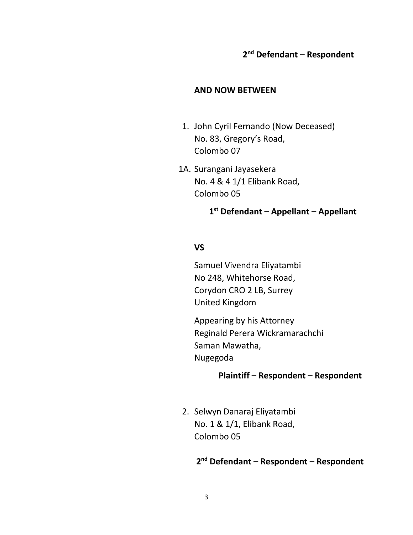## **2 nd Defendant – Respondent**

#### **AND NOW BETWEEN**

- 1. John Cyril Fernando (Now Deceased) No. 83, Gregory's Road, Colombo 07
- 1A. Surangani Jayasekera No. 4 & 4 1/1 Elibank Road, Colombo 05

**1 st Defendant – Appellant – Appellant**

#### **VS**

Samuel Vivendra Eliyatambi No 248, Whitehorse Road, Corydon CRO 2 LB, Surrey United Kingdom

Appearing by his Attorney Reginald Perera Wickramarachchi Saman Mawatha, Nugegoda

## **Plaintiff – Respondent – Respondent**

2. Selwyn Danaraj Eliyatambi No. 1 & 1/1, Elibank Road, Colombo 05

## **2 nd Defendant – Respondent – Respondent**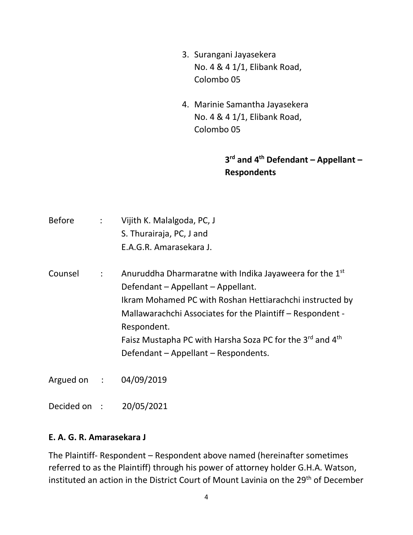- 3. Surangani Jayasekera No. 4 & 4 1/1, Elibank Road, Colombo 05
- 4. Marinie Samantha Jayasekera No. 4 & 4 1/1, Elibank Road, Colombo 05

# **3 rd and 4th Defendant – Appellant – Respondents**

| <b>Before</b> | $\ddot{\cdot}$ | Vijith K. Malalgoda, PC, J<br>S. Thurairaja, PC, J and<br>E.A.G.R. Amarasekara J.                                                                                                                                                                                                                                                                                               |
|---------------|----------------|---------------------------------------------------------------------------------------------------------------------------------------------------------------------------------------------------------------------------------------------------------------------------------------------------------------------------------------------------------------------------------|
| Counsel       | ÷              | Anuruddha Dharmaratne with Indika Jayaweera for the 1 <sup>st</sup><br>Defendant - Appellant - Appellant.<br>Ikram Mohamed PC with Roshan Hettiarachchi instructed by<br>Mallawarachchi Associates for the Plaintiff - Respondent -<br>Respondent.<br>Faisz Mustapha PC with Harsha Soza PC for the 3 <sup>rd</sup> and 4 <sup>th</sup><br>Defendant - Appellant - Respondents. |
| Argued on :   |                | 04/09/2019                                                                                                                                                                                                                                                                                                                                                                      |
| Decided on :  |                | 20/05/2021                                                                                                                                                                                                                                                                                                                                                                      |

#### **E. A. G. R. Amarasekara J**

The Plaintiff- Respondent – Respondent above named (hereinafter sometimes referred to as the Plaintiff) through his power of attorney holder G.H.A. Watson, instituted an action in the District Court of Mount Lavinia on the 29<sup>th</sup> of December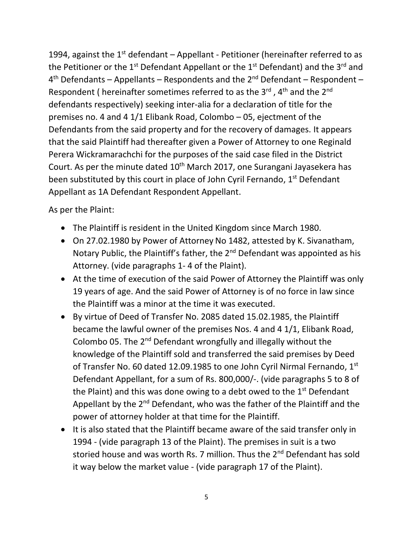1994, against the  $1<sup>st</sup>$  defendant – Appellant - Petitioner (hereinafter referred to as the Petitioner or the  $1^{st}$  Defendant Appellant or the  $1^{st}$  Defendant) and the  $3^{rd}$  and 4<sup>th</sup> Defendants – Appellants – Respondents and the 2<sup>nd</sup> Defendant – Respondent – Respondent ( hereinafter sometimes referred to as the  $3<sup>rd</sup>$  , 4<sup>th</sup> and the  $2<sup>nd</sup>$ defendants respectively) seeking inter-alia for a declaration of title for the premises no. 4 and 4 1/1 Elibank Road, Colombo – 05, ejectment of the Defendants from the said property and for the recovery of damages. It appears that the said Plaintiff had thereafter given a Power of Attorney to one Reginald Perera Wickramarachchi for the purposes of the said case filed in the District Court. As per the minute dated 10<sup>th</sup> March 2017, one Surangani Jayasekera has been substituted by this court in place of John Cyril Fernando, 1<sup>st</sup> Defendant Appellant as 1A Defendant Respondent Appellant.

As per the Plaint:

- The Plaintiff is resident in the United Kingdom since March 1980.
- On 27.02.1980 by Power of Attorney No 1482, attested by K. Sivanatham, Notary Public, the Plaintiff's father, the  $2<sup>nd</sup>$  Defendant was appointed as his Attorney. (vide paragraphs 1- 4 of the Plaint).
- At the time of execution of the said Power of Attorney the Plaintiff was only 19 years of age. And the said Power of Attorney is of no force in law since the Plaintiff was a minor at the time it was executed.
- By virtue of Deed of Transfer No. 2085 dated 15.02.1985, the Plaintiff became the lawful owner of the premises Nos. 4 and 4 1/1, Elibank Road, Colombo 05. The 2<sup>nd</sup> Defendant wrongfully and illegally without the knowledge of the Plaintiff sold and transferred the said premises by Deed of Transfer No. 60 dated 12.09.1985 to one John Cyril Nirmal Fernando,  $1<sup>st</sup>$ Defendant Appellant, for a sum of Rs. 800,000/-. (vide paragraphs 5 to 8 of the Plaint) and this was done owing to a debt owed to the  $1<sup>st</sup>$  Defendant Appellant by the 2<sup>nd</sup> Defendant, who was the father of the Plaintiff and the power of attorney holder at that time for the Plaintiff.
- It is also stated that the Plaintiff became aware of the said transfer only in 1994 - (vide paragraph 13 of the Plaint). The premises in suit is a two storied house and was worth Rs. 7 million. Thus the 2<sup>nd</sup> Defendant has sold it way below the market value - (vide paragraph 17 of the Plaint).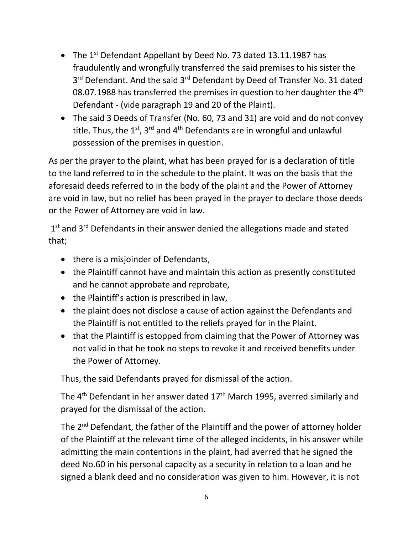- The  $1^{st}$  Defendant Appellant by Deed No. 73 dated 13.11.1987 has fraudulently and wrongfully transferred the said premises to his sister the 3<sup>rd</sup> Defendant. And the said 3<sup>rd</sup> Defendant by Deed of Transfer No. 31 dated 08.07.1988 has transferred the premises in question to her daughter the 4<sup>th</sup> Defendant - (vide paragraph 19 and 20 of the Plaint).
- The said 3 Deeds of Transfer (No. 60, 73 and 31) are void and do not convey title. Thus, the  $1<sup>st</sup>$ , 3<sup>rd</sup> and 4<sup>th</sup> Defendants are in wrongful and unlawful possession of the premises in question.

As per the prayer to the plaint, what has been prayed for is a declaration of title to the land referred to in the schedule to the plaint. It was on the basis that the aforesaid deeds referred to in the body of the plaint and the Power of Attorney are void in law, but no relief has been prayed in the prayer to declare those deeds or the Power of Attorney are void in law.

1<sup>st</sup> and 3<sup>rd</sup> Defendants in their answer denied the allegations made and stated that;

- there is a misjoinder of Defendants,
- the Plaintiff cannot have and maintain this action as presently constituted and he cannot approbate and reprobate,
- the Plaintiff's action is prescribed in law,
- the plaint does not disclose a cause of action against the Defendants and the Plaintiff is not entitled to the reliefs prayed for in the Plaint.
- that the Plaintiff is estopped from claiming that the Power of Attorney was not valid in that he took no steps to revoke it and received benefits under the Power of Attorney.

Thus, the said Defendants prayed for dismissal of the action.

The 4<sup>th</sup> Defendant in her answer dated 17<sup>th</sup> March 1995, averred similarly and prayed for the dismissal of the action.

The 2<sup>nd</sup> Defendant, the father of the Plaintiff and the power of attorney holder of the Plaintiff at the relevant time of the alleged incidents, in his answer while admitting the main contentions in the plaint, had averred that he signed the deed No.60 in his personal capacity as a security in relation to a loan and he signed a blank deed and no consideration was given to him. However, it is not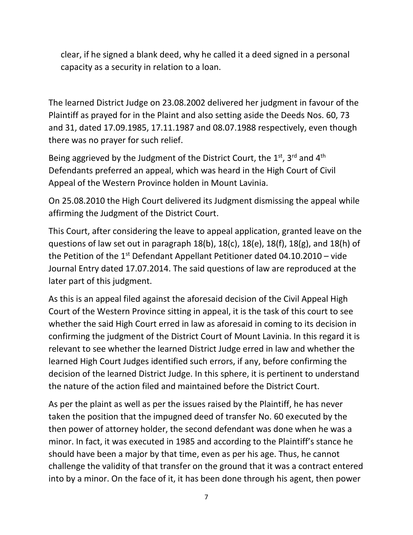clear, if he signed a blank deed, why he called it a deed signed in a personal capacity as a security in relation to a loan.

The learned District Judge on 23.08.2002 delivered her judgment in favour of the Plaintiff as prayed for in the Plaint and also setting aside the Deeds Nos. 60, 73 and 31, dated 17.09.1985, 17.11.1987 and 08.07.1988 respectively, even though there was no prayer for such relief.

Being aggrieved by the Judgment of the District Court, the  $1<sup>st</sup>$ , 3<sup>rd</sup> and 4<sup>th</sup> Defendants preferred an appeal, which was heard in the High Court of Civil Appeal of the Western Province holden in Mount Lavinia.

On 25.08.2010 the High Court delivered its Judgment dismissing the appeal while affirming the Judgment of the District Court.

This Court, after considering the leave to appeal application, granted leave on the questions of law set out in paragraph 18(b), 18(c), 18(e), 18(f), 18(g), and 18(h) of the Petition of the  $1<sup>st</sup>$  Defendant Appellant Petitioner dated 04.10.2010 – vide Journal Entry dated 17.07.2014. The said questions of law are reproduced at the later part of this judgment.

As this is an appeal filed against the aforesaid decision of the Civil Appeal High Court of the Western Province sitting in appeal, it is the task of this court to see whether the said High Court erred in law as aforesaid in coming to its decision in confirming the judgment of the District Court of Mount Lavinia. In this regard it is relevant to see whether the learned District Judge erred in law and whether the learned High Court Judges identified such errors, if any, before confirming the decision of the learned District Judge. In this sphere, it is pertinent to understand the nature of the action filed and maintained before the District Court.

As per the plaint as well as per the issues raised by the Plaintiff, he has never taken the position that the impugned deed of transfer No. 60 executed by the then power of attorney holder, the second defendant was done when he was a minor. In fact, it was executed in 1985 and according to the Plaintiff's stance he should have been a major by that time, even as per his age. Thus, he cannot challenge the validity of that transfer on the ground that it was a contract entered into by a minor. On the face of it, it has been done through his agent, then power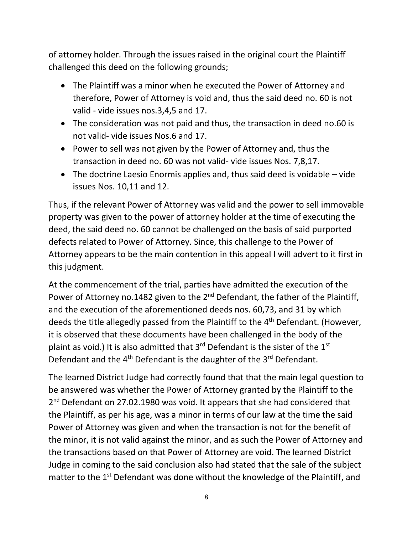of attorney holder. Through the issues raised in the original court the Plaintiff challenged this deed on the following grounds;

- The Plaintiff was a minor when he executed the Power of Attorney and therefore, Power of Attorney is void and, thus the said deed no. 60 is not valid - vide issues nos.3,4,5 and 17.
- The consideration was not paid and thus, the transaction in deed no.60 is not valid- vide issues Nos.6 and 17.
- Power to sell was not given by the Power of Attorney and, thus the transaction in deed no. 60 was not valid- vide issues Nos. 7,8,17.
- The doctrine Laesio Enormis applies and, thus said deed is voidable vide issues Nos. 10,11 and 12.

Thus, if the relevant Power of Attorney was valid and the power to sell immovable property was given to the power of attorney holder at the time of executing the deed, the said deed no. 60 cannot be challenged on the basis of said purported defects related to Power of Attorney. Since, this challenge to the Power of Attorney appears to be the main contention in this appeal I will advert to it first in this judgment.

At the commencement of the trial, parties have admitted the execution of the Power of Attorney no.1482 given to the 2<sup>nd</sup> Defendant, the father of the Plaintiff, and the execution of the aforementioned deeds nos. 60,73, and 31 by which deeds the title allegedly passed from the Plaintiff to the  $4<sup>th</sup>$  Defendant. (However, it is observed that these documents have been challenged in the body of the plaint as void.) It is also admitted that  $3<sup>rd</sup>$  Defendant is the sister of the  $1<sup>st</sup>$ Defendant and the  $4<sup>th</sup>$  Defendant is the daughter of the  $3<sup>rd</sup>$  Defendant.

The learned District Judge had correctly found that that the main legal question to be answered was whether the Power of Attorney granted by the Plaintiff to the 2<sup>nd</sup> Defendant on 27.02.1980 was void. It appears that she had considered that the Plaintiff, as per his age, was a minor in terms of our law at the time the said Power of Attorney was given and when the transaction is not for the benefit of the minor, it is not valid against the minor, and as such the Power of Attorney and the transactions based on that Power of Attorney are void. The learned District Judge in coming to the said conclusion also had stated that the sale of the subject matter to the 1<sup>st</sup> Defendant was done without the knowledge of the Plaintiff, and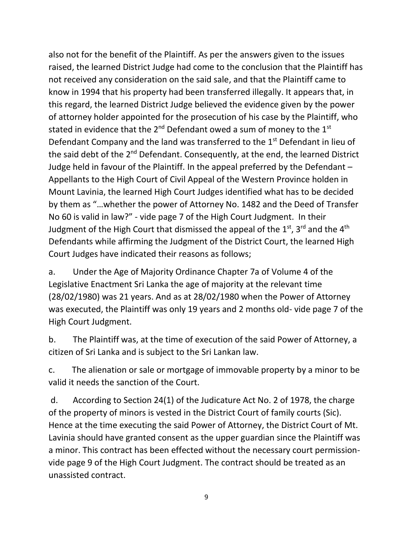also not for the benefit of the Plaintiff. As per the answers given to the issues raised, the learned District Judge had come to the conclusion that the Plaintiff has not received any consideration on the said sale, and that the Plaintiff came to know in 1994 that his property had been transferred illegally. It appears that, in this regard, the learned District Judge believed the evidence given by the power of attorney holder appointed for the prosecution of his case by the Plaintiff, who stated in evidence that the  $2^{nd}$  Defendant owed a sum of money to the  $1^{st}$ Defendant Company and the land was transferred to the 1<sup>st</sup> Defendant in lieu of the said debt of the 2<sup>nd</sup> Defendant. Consequently, at the end, the learned District Judge held in favour of the Plaintiff. In the appeal preferred by the Defendant – Appellants to the High Court of Civil Appeal of the Western Province holden in Mount Lavinia, the learned High Court Judges identified what has to be decided by them as "…whether the power of Attorney No. 1482 and the Deed of Transfer No 60 is valid in law?" - vide page 7 of the High Court Judgment. In their Judgment of the High Court that dismissed the appeal of the 1<sup>st</sup>, 3<sup>rd</sup> and the 4<sup>th</sup> Defendants while affirming the Judgment of the District Court, the learned High Court Judges have indicated their reasons as follows;

a. Under the Age of Majority Ordinance Chapter 7a of Volume 4 of the Legislative Enactment Sri Lanka the age of majority at the relevant time (28/02/1980) was 21 years. And as at 28/02/1980 when the Power of Attorney was executed, the Plaintiff was only 19 years and 2 months old- vide page 7 of the High Court Judgment.

b. The Plaintiff was, at the time of execution of the said Power of Attorney, a citizen of Sri Lanka and is subject to the Sri Lankan law.

c. The alienation or sale or mortgage of immovable property by a minor to be valid it needs the sanction of the Court.

d. According to Section 24(1) of the Judicature Act No. 2 of 1978, the charge of the property of minors is vested in the District Court of family courts (Sic). Hence at the time executing the said Power of Attorney, the District Court of Mt. Lavinia should have granted consent as the upper guardian since the Plaintiff was a minor. This contract has been effected without the necessary court permissionvide page 9 of the High Court Judgment. The contract should be treated as an unassisted contract.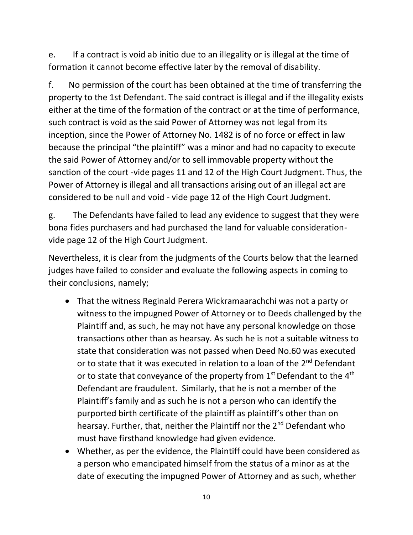e. If a contract is void ab initio due to an illegality or is illegal at the time of formation it cannot become effective later by the removal of disability.

f. No permission of the court has been obtained at the time of transferring the property to the 1st Defendant. The said contract is illegal and if the illegality exists either at the time of the formation of the contract or at the time of performance, such contract is void as the said Power of Attorney was not legal from its inception, since the Power of Attorney No. 1482 is of no force or effect in law because the principal "the plaintiff" was a minor and had no capacity to execute the said Power of Attorney and/or to sell immovable property without the sanction of the court -vide pages 11 and 12 of the High Court Judgment. Thus, the Power of Attorney is illegal and all transactions arising out of an illegal act are considered to be null and void - vide page 12 of the High Court Judgment.

g. The Defendants have failed to lead any evidence to suggest that they were bona fides purchasers and had purchased the land for valuable considerationvide page 12 of the High Court Judgment.

Nevertheless, it is clear from the judgments of the Courts below that the learned judges have failed to consider and evaluate the following aspects in coming to their conclusions, namely;

- That the witness Reginald Perera Wickramaarachchi was not a party or witness to the impugned Power of Attorney or to Deeds challenged by the Plaintiff and, as such, he may not have any personal knowledge on those transactions other than as hearsay. As such he is not a suitable witness to state that consideration was not passed when Deed No.60 was executed or to state that it was executed in relation to a loan of the  $2<sup>nd</sup>$  Defendant or to state that conveyance of the property from  $1<sup>st</sup>$  Defendant to the  $4<sup>th</sup>$ Defendant are fraudulent. Similarly, that he is not a member of the Plaintiff's family and as such he is not a person who can identify the purported birth certificate of the plaintiff as plaintiff's other than on hearsay. Further, that, neither the Plaintiff nor the 2<sup>nd</sup> Defendant who must have firsthand knowledge had given evidence.
- Whether, as per the evidence, the Plaintiff could have been considered as a person who emancipated himself from the status of a minor as at the date of executing the impugned Power of Attorney and as such, whether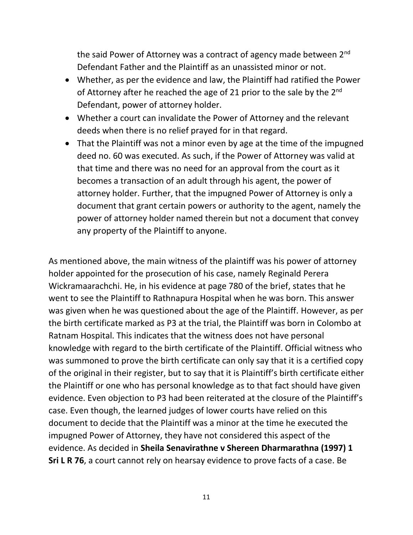the said Power of Attorney was a contract of agency made between 2<sup>nd</sup> Defendant Father and the Plaintiff as an unassisted minor or not.

- Whether, as per the evidence and law, the Plaintiff had ratified the Power of Attorney after he reached the age of 21 prior to the sale by the 2<sup>nd</sup> Defendant, power of attorney holder.
- Whether a court can invalidate the Power of Attorney and the relevant deeds when there is no relief prayed for in that regard.
- That the Plaintiff was not a minor even by age at the time of the impugned deed no. 60 was executed. As such, if the Power of Attorney was valid at that time and there was no need for an approval from the court as it becomes a transaction of an adult through his agent, the power of attorney holder. Further, that the impugned Power of Attorney is only a document that grant certain powers or authority to the agent, namely the power of attorney holder named therein but not a document that convey any property of the Plaintiff to anyone.

As mentioned above, the main witness of the plaintiff was his power of attorney holder appointed for the prosecution of his case, namely Reginald Perera Wickramaarachchi. He, in his evidence at page 780 of the brief, states that he went to see the Plaintiff to Rathnapura Hospital when he was born. This answer was given when he was questioned about the age of the Plaintiff. However, as per the birth certificate marked as P3 at the trial, the Plaintiff was born in Colombo at Ratnam Hospital. This indicates that the witness does not have personal knowledge with regard to the birth certificate of the Plaintiff. Official witness who was summoned to prove the birth certificate can only say that it is a certified copy of the original in their register, but to say that it is Plaintiff's birth certificate either the Plaintiff or one who has personal knowledge as to that fact should have given evidence. Even objection to P3 had been reiterated at the closure of the Plaintiff's case. Even though, the learned judges of lower courts have relied on this document to decide that the Plaintiff was a minor at the time he executed the impugned Power of Attorney, they have not considered this aspect of the evidence. As decided in **Sheila Senavirathne v Shereen Dharmarathna (1997) 1 Sri L R 76**, a court cannot rely on hearsay evidence to prove facts of a case. Be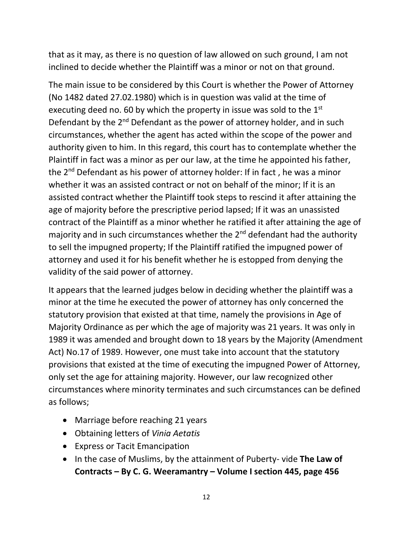that as it may, as there is no question of law allowed on such ground, I am not inclined to decide whether the Plaintiff was a minor or not on that ground.

The main issue to be considered by this Court is whether the Power of Attorney (No 1482 dated 27.02.1980) which is in question was valid at the time of executing deed no. 60 by which the property in issue was sold to the 1<sup>st</sup> Defendant by the 2<sup>nd</sup> Defendant as the power of attorney holder, and in such circumstances, whether the agent has acted within the scope of the power and authority given to him. In this regard, this court has to contemplate whether the Plaintiff in fact was a minor as per our law, at the time he appointed his father, the 2nd Defendant as his power of attorney holder: If in fact , he was a minor whether it was an assisted contract or not on behalf of the minor; If it is an assisted contract whether the Plaintiff took steps to rescind it after attaining the age of majority before the prescriptive period lapsed; If it was an unassisted contract of the Plaintiff as a minor whether he ratified it after attaining the age of majority and in such circumstances whether the  $2^{nd}$  defendant had the authority to sell the impugned property; If the Plaintiff ratified the impugned power of attorney and used it for his benefit whether he is estopped from denying the validity of the said power of attorney.

It appears that the learned judges below in deciding whether the plaintiff was a minor at the time he executed the power of attorney has only concerned the statutory provision that existed at that time, namely the provisions in Age of Majority Ordinance as per which the age of majority was 21 years. It was only in 1989 it was amended and brought down to 18 years by the Majority (Amendment Act) No.17 of 1989. However, one must take into account that the statutory provisions that existed at the time of executing the impugned Power of Attorney, only set the age for attaining majority. However, our law recognized other circumstances where minority terminates and such circumstances can be defined as follows;

- Marriage before reaching 21 years
- Obtaining letters of *Vinia Aetatis*
- Express or Tacit Emancipation
- In the case of Muslims, by the attainment of Puberty- vide **The Law of Contracts – By C. G. Weeramantry – Volume I section 445, page 456**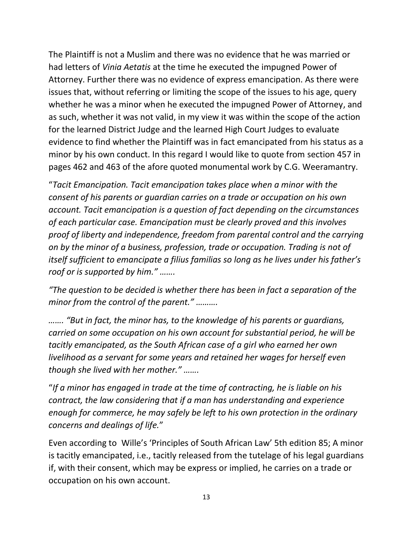The Plaintiff is not a Muslim and there was no evidence that he was married or had letters of *Vinia Aetatis* at the time he executed the impugned Power of Attorney. Further there was no evidence of express emancipation. As there were issues that, without referring or limiting the scope of the issues to his age, query whether he was a minor when he executed the impugned Power of Attorney, and as such, whether it was not valid, in my view it was within the scope of the action for the learned District Judge and the learned High Court Judges to evaluate evidence to find whether the Plaintiff was in fact emancipated from his status as a minor by his own conduct. In this regard I would like to quote from section 457 in pages 462 and 463 of the afore quoted monumental work by C.G. Weeramantry.

"*Tacit Emancipation. Tacit emancipation takes place when a minor with the consent of his parents or guardian carries on a trade or occupation on his own account. Tacit emancipation is a question of fact depending on the circumstances of each particular case. Emancipation must be clearly proved and this involves proof of liberty and independence, freedom from parental control and the carrying on by the minor of a business, profession, trade or occupation. Trading is not of itself sufficient to emancipate a filius familias so long as he lives under his father's roof or is supported by him." …….*

*"The question to be decided is whether there has been in fact a separation of the minor from the control of the parent." ……….*

*……. "But in fact, the minor has, to the knowledge of his parents or guardians, carried on some occupation on his own account for substantial period, he will be tacitly emancipated, as the South African case of a girl who earned her own livelihood as a servant for some years and retained her wages for herself even though she lived with her mother." …….*

"*If a minor has engaged in trade at the time of contracting, he is liable on his contract, the law considering that if a man has understanding and experience enough for commerce, he may safely be left to his own protection in the ordinary concerns and dealings of life.*"

Even according to Wille's 'Principles of South African Law' 5th edition 85; A minor is tacitly emancipated, i.e., tacitly released from the tutelage of his legal guardians if, with their consent, which may be express or implied, he carries on a trade or occupation on his own account.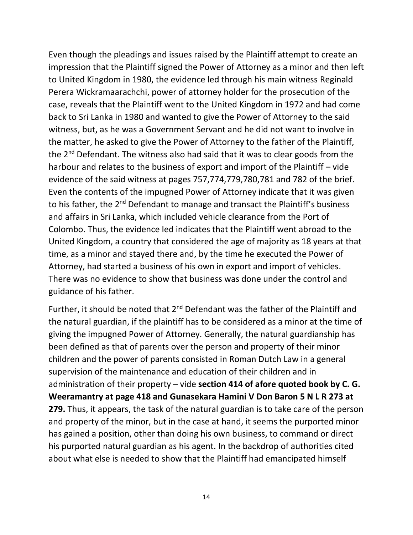Even though the pleadings and issues raised by the Plaintiff attempt to create an impression that the Plaintiff signed the Power of Attorney as a minor and then left to United Kingdom in 1980, the evidence led through his main witness Reginald Perera Wickramaarachchi, power of attorney holder for the prosecution of the case, reveals that the Plaintiff went to the United Kingdom in 1972 and had come back to Sri Lanka in 1980 and wanted to give the Power of Attorney to the said witness, but, as he was a Government Servant and he did not want to involve in the matter, he asked to give the Power of Attorney to the father of the Plaintiff, the 2<sup>nd</sup> Defendant. The witness also had said that it was to clear goods from the harbour and relates to the business of export and import of the Plaintiff – vide evidence of the said witness at pages 757,774,779,780,781 and 782 of the brief. Even the contents of the impugned Power of Attorney indicate that it was given to his father, the 2<sup>nd</sup> Defendant to manage and transact the Plaintiff's business and affairs in Sri Lanka, which included vehicle clearance from the Port of Colombo. Thus, the evidence led indicates that the Plaintiff went abroad to the United Kingdom, a country that considered the age of majority as 18 years at that time, as a minor and stayed there and, by the time he executed the Power of Attorney, had started a business of his own in export and import of vehicles. There was no evidence to show that business was done under the control and guidance of his father.

Further, it should be noted that  $2^{nd}$  Defendant was the father of the Plaintiff and the natural guardian, if the plaintiff has to be considered as a minor at the time of giving the impugned Power of Attorney. Generally, the natural guardianship has been defined as that of parents over the person and property of their minor children and the power of parents consisted in Roman Dutch Law in a general supervision of the maintenance and education of their children and in administration of their property – vide **section 414 of afore quoted book by C. G. Weeramantry at page 418 and Gunasekara Hamini V Don Baron 5 N L R 273 at 279.** Thus, it appears, the task of the natural guardian is to take care of the person and property of the minor, but in the case at hand, it seems the purported minor has gained a position, other than doing his own business, to command or direct his purported natural guardian as his agent. In the backdrop of authorities cited about what else is needed to show that the Plaintiff had emancipated himself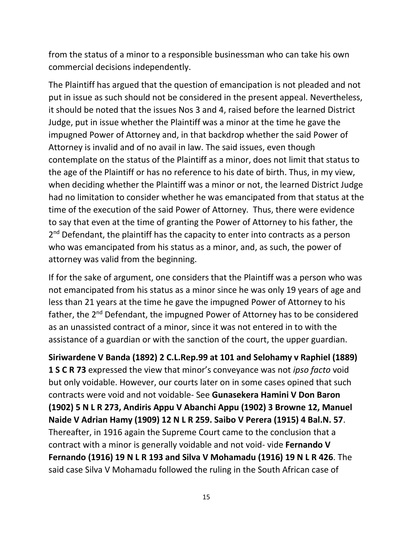from the status of a minor to a responsible businessman who can take his own commercial decisions independently.

The Plaintiff has argued that the question of emancipation is not pleaded and not put in issue as such should not be considered in the present appeal. Nevertheless, it should be noted that the issues Nos 3 and 4, raised before the learned District Judge, put in issue whether the Plaintiff was a minor at the time he gave the impugned Power of Attorney and, in that backdrop whether the said Power of Attorney is invalid and of no avail in law. The said issues, even though contemplate on the status of the Plaintiff as a minor, does not limit that status to the age of the Plaintiff or has no reference to his date of birth. Thus, in my view, when deciding whether the Plaintiff was a minor or not, the learned District Judge had no limitation to consider whether he was emancipated from that status at the time of the execution of the said Power of Attorney. Thus, there were evidence to say that even at the time of granting the Power of Attorney to his father, the 2<sup>nd</sup> Defendant, the plaintiff has the capacity to enter into contracts as a person who was emancipated from his status as a minor, and, as such, the power of attorney was valid from the beginning.

If for the sake of argument, one considers that the Plaintiff was a person who was not emancipated from his status as a minor since he was only 19 years of age and less than 21 years at the time he gave the impugned Power of Attorney to his father, the 2<sup>nd</sup> Defendant, the impugned Power of Attorney has to be considered as an unassisted contract of a minor, since it was not entered in to with the assistance of a guardian or with the sanction of the court, the upper guardian.

**Siriwardene V Banda (1892) 2 C.L.Rep.99 at 101 and Selohamy v Raphiel (1889) 1 S C R 73** expressed the view that minor's conveyance was not *ipso facto* void but only voidable. However, our courts later on in some cases opined that such contracts were void and not voidable- See **Gunasekera Hamini V Don Baron (1902) 5 N L R 273, Andiris Appu V Abanchi Appu (1902) 3 Browne 12, Manuel Naide V Adrian Hamy (1909) 12 N L R 259. Saibo V Perera (1915) 4 Bal.N. 57**. Thereafter, in 1916 again the Supreme Court came to the conclusion that a contract with a minor is generally voidable and not void- vide **Fernando V Fernando (1916) 19 N L R 193 and Silva V Mohamadu (1916) 19 N L R 426**. The said case Silva V Mohamadu followed the ruling in the South African case of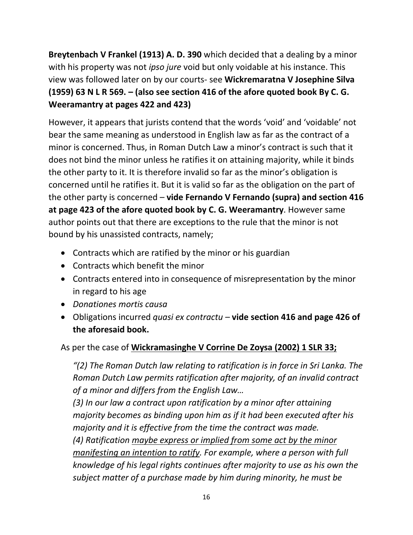**Breytenbach V Frankel (1913) A. D. 390** which decided that a dealing by a minor with his property was not *ipso jure* void but only voidable at his instance. This view was followed later on by our courts- see **Wickremaratna V Josephine Silva (1959) 63 N L R 569. – (also see section 416 of the afore quoted book By C. G. Weeramantry at pages 422 and 423)**

However, it appears that jurists contend that the words 'void' and 'voidable' not bear the same meaning as understood in English law as far as the contract of a minor is concerned. Thus, in Roman Dutch Law a minor's contract is such that it does not bind the minor unless he ratifies it on attaining majority, while it binds the other party to it. It is therefore invalid so far as the minor's obligation is concerned until he ratifies it. But it is valid so far as the obligation on the part of the other party is concerned – **vide Fernando V Fernando (supra) and section 416 at page 423 of the afore quoted book by C. G. Weeramantry**. However same author points out that there are exceptions to the rule that the minor is not bound by his unassisted contracts, namely;

- Contracts which are ratified by the minor or his guardian
- Contracts which benefit the minor
- Contracts entered into in consequence of misrepresentation by the minor in regard to his age
- *Donationes mortis causa*
- Obligations incurred *quasi ex contractu –* **vide section 416 and page 426 of the aforesaid book.**

# As per the case of **Wickramasinghe V Corrine De Zoysa (2002) 1 SLR 33;**

*"(2) The Roman Dutch law relating to ratification is in force in Sri Lanka. The Roman Dutch Law permits ratification after majority, of an invalid contract of a minor and differs from the English Law…* 

*(3) In our law a contract upon ratification by a minor after attaining majority becomes as binding upon him as if it had been executed after his majority and it is effective from the time the contract was made. (4) Ratification maybe express or implied from some act by the minor manifesting an intention to ratify. For example, where a person with full knowledge of his legal rights continues after majority to use as his own the subject matter of a purchase made by him during minority, he must be*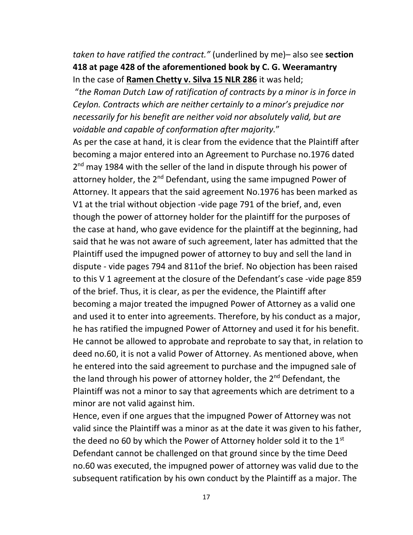*taken to have ratified the contract."* (underlined by me)– also see **section 418 at page 428 of the aforementioned book by C. G. Weeramantry** In the case of **Ramen Chetty v. Silva 15 NLR 286** it was held;

"*the Roman Dutch Law of ratification of contracts by a minor is in force in Ceylon. Contracts which are neither certainly to a minor's prejudice nor necessarily for his benefit are neither void nor absolutely valid, but are voidable and capable of conformation after majority.*"

As per the case at hand, it is clear from the evidence that the Plaintiff after becoming a major entered into an Agreement to Purchase no.1976 dated 2<sup>nd</sup> may 1984 with the seller of the land in dispute through his power of attorney holder, the  $2^{nd}$  Defendant, using the same impugned Power of Attorney. It appears that the said agreement No.1976 has been marked as V1 at the trial without objection -vide page 791 of the brief, and, even though the power of attorney holder for the plaintiff for the purposes of the case at hand, who gave evidence for the plaintiff at the beginning, had said that he was not aware of such agreement, later has admitted that the Plaintiff used the impugned power of attorney to buy and sell the land in dispute - vide pages 794 and 811of the brief. No objection has been raised to this V 1 agreement at the closure of the Defendant's case -vide page 859 of the brief. Thus, it is clear, as per the evidence, the Plaintiff after becoming a major treated the impugned Power of Attorney as a valid one and used it to enter into agreements. Therefore, by his conduct as a major, he has ratified the impugned Power of Attorney and used it for his benefit. He cannot be allowed to approbate and reprobate to say that, in relation to deed no.60, it is not a valid Power of Attorney. As mentioned above, when he entered into the said agreement to purchase and the impugned sale of the land through his power of attorney holder, the  $2<sup>nd</sup>$  Defendant, the Plaintiff was not a minor to say that agreements which are detriment to a minor are not valid against him.

Hence, even if one argues that the impugned Power of Attorney was not valid since the Plaintiff was a minor as at the date it was given to his father, the deed no 60 by which the Power of Attorney holder sold it to the  $1<sup>st</sup>$ Defendant cannot be challenged on that ground since by the time Deed no.60 was executed, the impugned power of attorney was valid due to the subsequent ratification by his own conduct by the Plaintiff as a major. The

17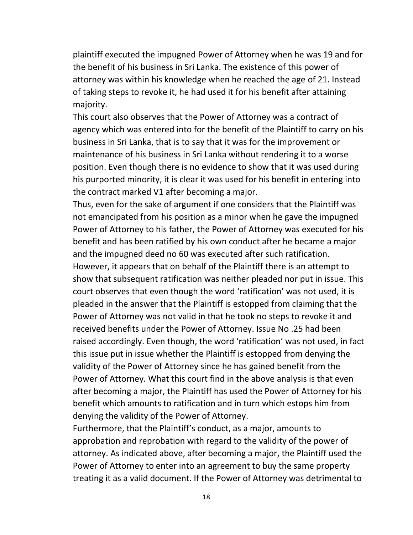plaintiff executed the impugned Power of Attorney when he was 19 and for the benefit of his business in Sri Lanka. The existence of this power of attorney was within his knowledge when he reached the age of 21. Instead of taking steps to revoke it, he had used it for his benefit after attaining majority.

This court also observes that the Power of Attorney was a contract of agency which was entered into for the benefit of the Plaintiff to carry on his business in Sri Lanka, that is to say that it was for the improvement or maintenance of his business in Sri Lanka without rendering it to a worse position. Even though there is no evidence to show that it was used during his purported minority, it is clear it was used for his benefit in entering into the contract marked V1 after becoming a major.

Thus, even for the sake of argument if one considers that the Plaintiff was not emancipated from his position as a minor when he gave the impugned Power of Attorney to his father, the Power of Attorney was executed for his benefit and has been ratified by his own conduct after he became a major and the impugned deed no 60 was executed after such ratification. However, it appears that on behalf of the Plaintiff there is an attempt to show that subsequent ratification was neither pleaded nor put in issue. This court observes that even though the word 'ratification' was not used, it is pleaded in the answer that the Plaintiff is estopped from claiming that the Power of Attorney was not valid in that he took no steps to revoke it and received benefits under the Power of Attorney. Issue No .25 had been raised accordingly. Even though, the word 'ratification' was not used, in fact this issue put in issue whether the Plaintiff is estopped from denying the validity of the Power of Attorney since he has gained benefit from the Power of Attorney. What this court find in the above analysis is that even after becoming a major, the Plaintiff has used the Power of Attorney for his benefit which amounts to ratification and in turn which estops him from denying the validity of the Power of Attorney.

Furthermore, that the Plaintiff's conduct, as a major, amounts to approbation and reprobation with regard to the validity of the power of attorney. As indicated above, after becoming a major, the Plaintiff used the Power of Attorney to enter into an agreement to buy the same property treating it as a valid document. If the Power of Attorney was detrimental to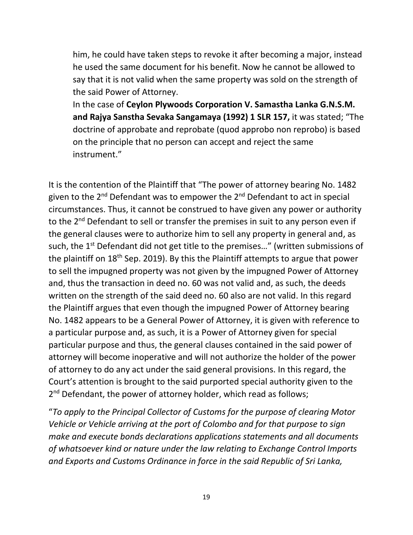him, he could have taken steps to revoke it after becoming a major, instead he used the same document for his benefit. Now he cannot be allowed to say that it is not valid when the same property was sold on the strength of the said Power of Attorney.

In the case of **Ceylon Plywoods Corporation V. Samastha Lanka G.N.S.M. and Rajya Sanstha Sevaka Sangamaya (1992) 1 SLR 157,** it was stated; "The doctrine of approbate and reprobate (quod approbo non reprobo) is based on the principle that no person can accept and reject the same instrument."

It is the contention of the Plaintiff that "The power of attorney bearing No. 1482 given to the 2<sup>nd</sup> Defendant was to empower the 2<sup>nd</sup> Defendant to act in special circumstances. Thus, it cannot be construed to have given any power or authority to the  $2^{nd}$  Defendant to sell or transfer the premises in suit to any person even if the general clauses were to authorize him to sell any property in general and, as such, the 1<sup>st</sup> Defendant did not get title to the premises..." (written submissions of the plaintiff on 18<sup>th</sup> Sep. 2019). By this the Plaintiff attempts to argue that power to sell the impugned property was not given by the impugned Power of Attorney and, thus the transaction in deed no. 60 was not valid and, as such, the deeds written on the strength of the said deed no. 60 also are not valid. In this regard the Plaintiff argues that even though the impugned Power of Attorney bearing No. 1482 appears to be a General Power of Attorney, it is given with reference to a particular purpose and, as such, it is a Power of Attorney given for special particular purpose and thus, the general clauses contained in the said power of attorney will become inoperative and will not authorize the holder of the power of attorney to do any act under the said general provisions. In this regard, the Court's attention is brought to the said purported special authority given to the 2<sup>nd</sup> Defendant, the power of attorney holder, which read as follows;

"*To apply to the Principal Collector of Customs for the purpose of clearing Motor Vehicle or Vehicle arriving at the port of Colombo and for that purpose to sign make and execute bonds declarations applications statements and all documents of whatsoever kind or nature under the law relating to Exchange Control Imports and Exports and Customs Ordinance in force in the said Republic of Sri Lanka,*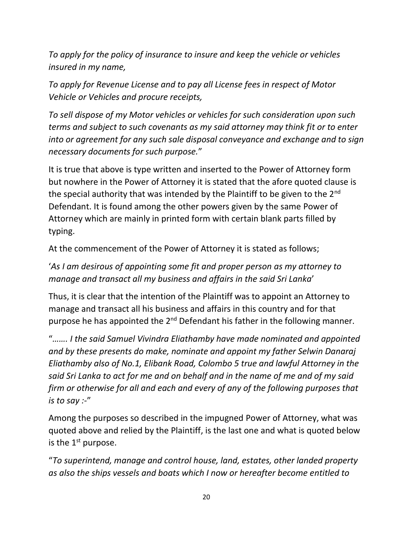*To apply for the policy of insurance to insure and keep the vehicle or vehicles insured in my name,*

*To apply for Revenue License and to pay all License fees in respect of Motor Vehicle or Vehicles and procure receipts,*

*To sell dispose of my Motor vehicles or vehicles for such consideration upon such terms and subject to such covenants as my said attorney may think fit or to enter into or agreement for any such sale disposal conveyance and exchange and to sign necessary documents for such purpose.*"

It is true that above is type written and inserted to the Power of Attorney form but nowhere in the Power of Attorney it is stated that the afore quoted clause is the special authority that was intended by the Plaintiff to be given to the 2<sup>nd</sup> Defendant. It is found among the other powers given by the same Power of Attorney which are mainly in printed form with certain blank parts filled by typing.

At the commencement of the Power of Attorney it is stated as follows;

# '*As I am desirous of appointing some fit and proper person as my attorney to manage and transact all my business and affairs in the said Sri Lanka*'

Thus, it is clear that the intention of the Plaintiff was to appoint an Attorney to manage and transact all his business and affairs in this country and for that purpose he has appointed the  $2^{nd}$  Defendant his father in the following manner.

"*……. I the said Samuel Vivindra Eliathamby have made nominated and appointed and by these presents do make, nominate and appoint my father Selwin Danaraj Eliathamby also of No.1, Elibank Road, Colombo 5 true and lawful Attorney in the said Sri Lanka to act for me and on behalf and in the name of me and of my said firm or otherwise for all and each and every of any of the following purposes that is to say :-*"

Among the purposes so described in the impugned Power of Attorney, what was quoted above and relied by the Plaintiff, is the last one and what is quoted below is the  $1<sup>st</sup>$  purpose.

"*To superintend, manage and control house, land, estates, other landed property as also the ships vessels and boats which I now or hereafter become entitled to*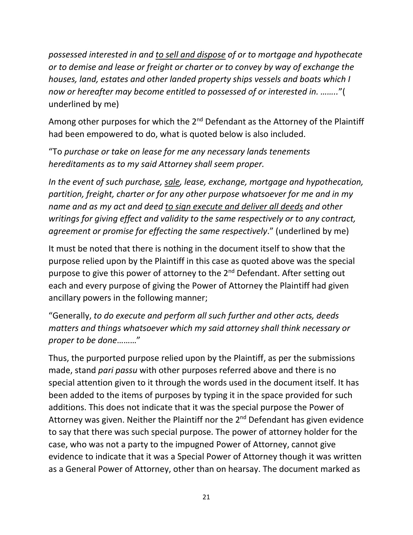*possessed interested in and to sell and dispose of or to mortgage and hypothecate or to demise and lease or freight or charter or to convey by way of exchange the houses, land, estates and other landed property ships vessels and boats which I now or hereafter may become entitled to possessed of or interested in. ……..*"( underlined by me)

Among other purposes for which the  $2<sup>nd</sup>$  Defendant as the Attorney of the Plaintiff had been empowered to do, what is quoted below is also included.

"To *purchase or take on lease for me any necessary lands tenements hereditaments as to my said Attorney shall seem proper.*

*In the event of such purchase, sale, lease, exchange, mortgage and hypothecation, partition, freight, charter or for any other purpose whatsoever for me and in my name and as my act and deed to sign execute and deliver all deeds and other writings for giving effect and validity to the same respectively or to any contract, agreement or promise for effecting the same respectively*." (underlined by me)

It must be noted that there is nothing in the document itself to show that the purpose relied upon by the Plaintiff in this case as quoted above was the special purpose to give this power of attorney to the 2<sup>nd</sup> Defendant. After setting out each and every purpose of giving the Power of Attorney the Plaintiff had given ancillary powers in the following manner;

"Generally, *to do execute and perform all such further and other acts, deeds matters and things whatsoever which my said attorney shall think necessary or proper to be done*………"

Thus, the purported purpose relied upon by the Plaintiff, as per the submissions made, stand *pari passu* with other purposes referred above and there is no special attention given to it through the words used in the document itself. It has been added to the items of purposes by typing it in the space provided for such additions. This does not indicate that it was the special purpose the Power of Attorney was given. Neither the Plaintiff nor the  $2^{nd}$  Defendant has given evidence to say that there was such special purpose. The power of attorney holder for the case, who was not a party to the impugned Power of Attorney, cannot give evidence to indicate that it was a Special Power of Attorney though it was written as a General Power of Attorney, other than on hearsay. The document marked as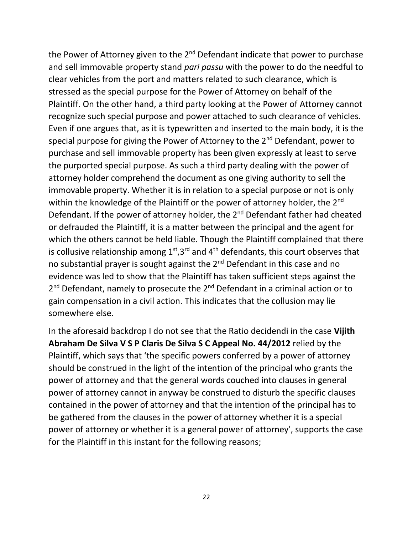the Power of Attorney given to the  $2<sup>nd</sup>$  Defendant indicate that power to purchase and sell immovable property stand *pari passu* with the power to do the needful to clear vehicles from the port and matters related to such clearance, which is stressed as the special purpose for the Power of Attorney on behalf of the Plaintiff. On the other hand, a third party looking at the Power of Attorney cannot recognize such special purpose and power attached to such clearance of vehicles. Even if one argues that, as it is typewritten and inserted to the main body, it is the special purpose for giving the Power of Attorney to the 2<sup>nd</sup> Defendant, power to purchase and sell immovable property has been given expressly at least to serve the purported special purpose. As such a third party dealing with the power of attorney holder comprehend the document as one giving authority to sell the immovable property. Whether it is in relation to a special purpose or not is only within the knowledge of the Plaintiff or the power of attorney holder, the 2<sup>nd</sup> Defendant. If the power of attorney holder, the 2<sup>nd</sup> Defendant father had cheated or defrauded the Plaintiff, it is a matter between the principal and the agent for which the others cannot be held liable. Though the Plaintiff complained that there is collusive relationship among  $1<sup>st</sup>,3<sup>rd</sup>$  and  $4<sup>th</sup>$  defendants, this court observes that no substantial prayer is sought against the 2<sup>nd</sup> Defendant in this case and no evidence was led to show that the Plaintiff has taken sufficient steps against the 2<sup>nd</sup> Defendant, namely to prosecute the 2<sup>nd</sup> Defendant in a criminal action or to gain compensation in a civil action. This indicates that the collusion may lie somewhere else.

In the aforesaid backdrop I do not see that the Ratio decidendi in the case **Vijith Abraham De Silva V S P Claris De Silva S C Appeal No. 44/2012** relied by the Plaintiff, which says that 'the specific powers conferred by a power of attorney should be construed in the light of the intention of the principal who grants the power of attorney and that the general words couched into clauses in general power of attorney cannot in anyway be construed to disturb the specific clauses contained in the power of attorney and that the intention of the principal has to be gathered from the clauses in the power of attorney whether it is a special power of attorney or whether it is a general power of attorney', supports the case for the Plaintiff in this instant for the following reasons;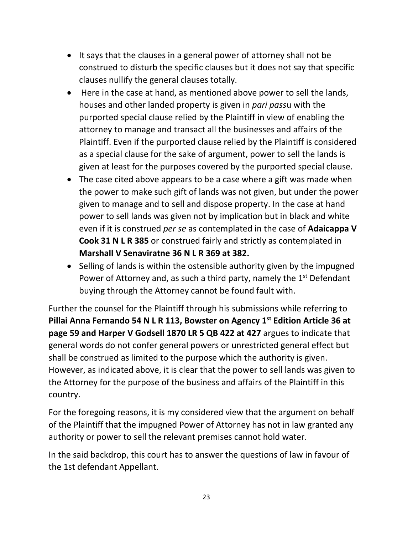- It says that the clauses in a general power of attorney shall not be construed to disturb the specific clauses but it does not say that specific clauses nullify the general clauses totally.
- Here in the case at hand, as mentioned above power to sell the lands, houses and other landed property is given in *pari pass*u with the purported special clause relied by the Plaintiff in view of enabling the attorney to manage and transact all the businesses and affairs of the Plaintiff. Even if the purported clause relied by the Plaintiff is considered as a special clause for the sake of argument, power to sell the lands is given at least for the purposes covered by the purported special clause.
- The case cited above appears to be a case where a gift was made when the power to make such gift of lands was not given, but under the power given to manage and to sell and dispose property. In the case at hand power to sell lands was given not by implication but in black and white even if it is construed *per se* as contemplated in the case of **Adaicappa V Cook 31 N L R 385** or construed fairly and strictly as contemplated in **Marshall V Senaviratne 36 N L R 369 at 382.**
- Selling of lands is within the ostensible authority given by the impugned Power of Attorney and, as such a third party, namely the  $1<sup>st</sup>$  Defendant buying through the Attorney cannot be found fault with.

Further the counsel for the Plaintiff through his submissions while referring to **Pillai Anna Fernando 54 N L R 113, Bowster on Agency 1st Edition Article 36 at page 59 and Harper V Godsell 1870 LR 5 QB 422 at 427** argues to indicate that general words do not confer general powers or unrestricted general effect but shall be construed as limited to the purpose which the authority is given. However, as indicated above, it is clear that the power to sell lands was given to the Attorney for the purpose of the business and affairs of the Plaintiff in this country.

For the foregoing reasons, it is my considered view that the argument on behalf of the Plaintiff that the impugned Power of Attorney has not in law granted any authority or power to sell the relevant premises cannot hold water.

In the said backdrop, this court has to answer the questions of law in favour of the 1st defendant Appellant.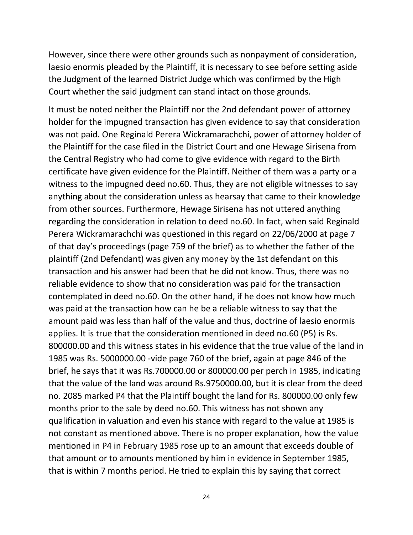However, since there were other grounds such as nonpayment of consideration, laesio enormis pleaded by the Plaintiff, it is necessary to see before setting aside the Judgment of the learned District Judge which was confirmed by the High Court whether the said judgment can stand intact on those grounds.

It must be noted neither the Plaintiff nor the 2nd defendant power of attorney holder for the impugned transaction has given evidence to say that consideration was not paid. One Reginald Perera Wickramarachchi, power of attorney holder of the Plaintiff for the case filed in the District Court and one Hewage Sirisena from the Central Registry who had come to give evidence with regard to the Birth certificate have given evidence for the Plaintiff. Neither of them was a party or a witness to the impugned deed no.60. Thus, they are not eligible witnesses to say anything about the consideration unless as hearsay that came to their knowledge from other sources. Furthermore, Hewage Sirisena has not uttered anything regarding the consideration in relation to deed no.60. In fact, when said Reginald Perera Wickramarachchi was questioned in this regard on 22/06/2000 at page 7 of that day's proceedings (page 759 of the brief) as to whether the father of the plaintiff (2nd Defendant) was given any money by the 1st defendant on this transaction and his answer had been that he did not know. Thus, there was no reliable evidence to show that no consideration was paid for the transaction contemplated in deed no.60. On the other hand, if he does not know how much was paid at the transaction how can he be a reliable witness to say that the amount paid was less than half of the value and thus, doctrine of laesio enormis applies. It is true that the consideration mentioned in deed no.60 (P5) is Rs. 800000.00 and this witness states in his evidence that the true value of the land in 1985 was Rs. 5000000.00 -vide page 760 of the brief, again at page 846 of the brief, he says that it was Rs.700000.00 or 800000.00 per perch in 1985, indicating that the value of the land was around Rs.9750000.00, but it is clear from the deed no. 2085 marked P4 that the Plaintiff bought the land for Rs. 800000.00 only few months prior to the sale by deed no.60. This witness has not shown any qualification in valuation and even his stance with regard to the value at 1985 is not constant as mentioned above. There is no proper explanation, how the value mentioned in P4 in February 1985 rose up to an amount that exceeds double of that amount or to amounts mentioned by him in evidence in September 1985, that is within 7 months period. He tried to explain this by saying that correct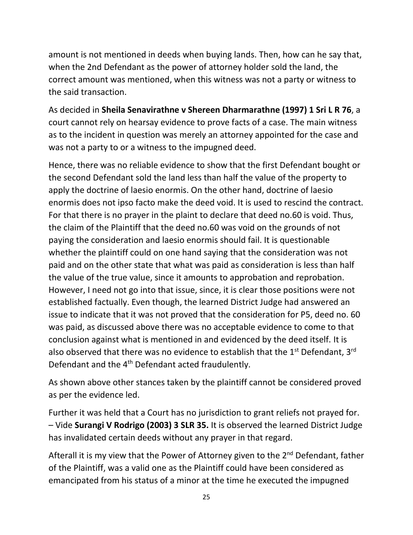amount is not mentioned in deeds when buying lands. Then, how can he say that, when the 2nd Defendant as the power of attorney holder sold the land, the correct amount was mentioned, when this witness was not a party or witness to the said transaction.

As decided in **Sheila Senavirathne v Shereen Dharmarathne (1997) 1 Sri L R 76**, a court cannot rely on hearsay evidence to prove facts of a case. The main witness as to the incident in question was merely an attorney appointed for the case and was not a party to or a witness to the impugned deed.

Hence, there was no reliable evidence to show that the first Defendant bought or the second Defendant sold the land less than half the value of the property to apply the doctrine of laesio enormis. On the other hand, doctrine of laesio enormis does not ipso facto make the deed void. It is used to rescind the contract. For that there is no prayer in the plaint to declare that deed no.60 is void. Thus, the claim of the Plaintiff that the deed no.60 was void on the grounds of not paying the consideration and laesio enormis should fail. It is questionable whether the plaintiff could on one hand saying that the consideration was not paid and on the other state that what was paid as consideration is less than half the value of the true value, since it amounts to approbation and reprobation. However, I need not go into that issue, since, it is clear those positions were not established factually. Even though, the learned District Judge had answered an issue to indicate that it was not proved that the consideration for P5, deed no. 60 was paid, as discussed above there was no acceptable evidence to come to that conclusion against what is mentioned in and evidenced by the deed itself. It is also observed that there was no evidence to establish that the  $1<sup>st</sup>$  Defendant,  $3<sup>rd</sup>$ Defendant and the 4<sup>th</sup> Defendant acted fraudulently.

As shown above other stances taken by the plaintiff cannot be considered proved as per the evidence led.

Further it was held that a Court has no jurisdiction to grant reliefs not prayed for. – Vide **Surangi V Rodrigo (2003) 3 SLR 35.** It is observed the learned District Judge has invalidated certain deeds without any prayer in that regard.

Afterall it is my view that the Power of Attorney given to the 2<sup>nd</sup> Defendant, father of the Plaintiff, was a valid one as the Plaintiff could have been considered as emancipated from his status of a minor at the time he executed the impugned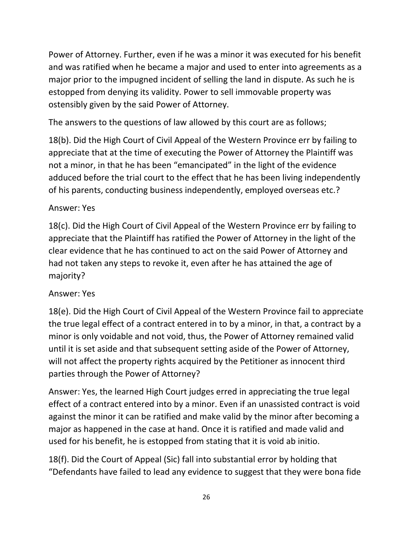Power of Attorney. Further, even if he was a minor it was executed for his benefit and was ratified when he became a major and used to enter into agreements as a major prior to the impugned incident of selling the land in dispute. As such he is estopped from denying its validity. Power to sell immovable property was ostensibly given by the said Power of Attorney.

The answers to the questions of law allowed by this court are as follows;

18(b). Did the High Court of Civil Appeal of the Western Province err by failing to appreciate that at the time of executing the Power of Attorney the Plaintiff was not a minor, in that he has been "emancipated" in the light of the evidence adduced before the trial court to the effect that he has been living independently of his parents, conducting business independently, employed overseas etc.?

# Answer: Yes

18(c). Did the High Court of Civil Appeal of the Western Province err by failing to appreciate that the Plaintiff has ratified the Power of Attorney in the light of the clear evidence that he has continued to act on the said Power of Attorney and had not taken any steps to revoke it, even after he has attained the age of majority?

# Answer: Yes

18(e). Did the High Court of Civil Appeal of the Western Province fail to appreciate the true legal effect of a contract entered in to by a minor, in that, a contract by a minor is only voidable and not void, thus, the Power of Attorney remained valid until it is set aside and that subsequent setting aside of the Power of Attorney, will not affect the property rights acquired by the Petitioner as innocent third parties through the Power of Attorney?

Answer: Yes, the learned High Court judges erred in appreciating the true legal effect of a contract entered into by a minor. Even if an unassisted contract is void against the minor it can be ratified and make valid by the minor after becoming a major as happened in the case at hand. Once it is ratified and made valid and used for his benefit, he is estopped from stating that it is void ab initio.

18(f). Did the Court of Appeal (Sic) fall into substantial error by holding that "Defendants have failed to lead any evidence to suggest that they were bona fide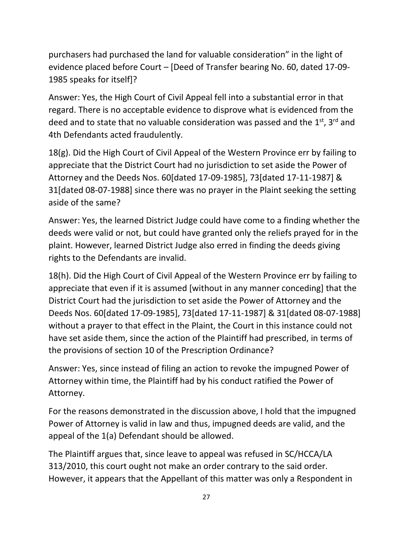purchasers had purchased the land for valuable consideration" in the light of evidence placed before Court – [Deed of Transfer bearing No. 60, dated 17-09- 1985 speaks for itself]?

Answer: Yes, the High Court of Civil Appeal fell into a substantial error in that regard. There is no acceptable evidence to disprove what is evidenced from the deed and to state that no valuable consideration was passed and the 1<sup>st</sup>, 3<sup>rd</sup> and 4th Defendants acted fraudulently.

18(g). Did the High Court of Civil Appeal of the Western Province err by failing to appreciate that the District Court had no jurisdiction to set aside the Power of Attorney and the Deeds Nos. 60[dated 17-09-1985], 73[dated 17-11-1987] & 31[dated 08-07-1988] since there was no prayer in the Plaint seeking the setting aside of the same?

Answer: Yes, the learned District Judge could have come to a finding whether the deeds were valid or not, but could have granted only the reliefs prayed for in the plaint. However, learned District Judge also erred in finding the deeds giving rights to the Defendants are invalid.

18(h). Did the High Court of Civil Appeal of the Western Province err by failing to appreciate that even if it is assumed [without in any manner conceding] that the District Court had the jurisdiction to set aside the Power of Attorney and the Deeds Nos. 60[dated 17-09-1985], 73[dated 17-11-1987] & 31[dated 08-07-1988] without a prayer to that effect in the Plaint, the Court in this instance could not have set aside them, since the action of the Plaintiff had prescribed, in terms of the provisions of section 10 of the Prescription Ordinance?

Answer: Yes, since instead of filing an action to revoke the impugned Power of Attorney within time, the Plaintiff had by his conduct ratified the Power of Attorney.

For the reasons demonstrated in the discussion above, I hold that the impugned Power of Attorney is valid in law and thus, impugned deeds are valid, and the appeal of the 1(a) Defendant should be allowed.

The Plaintiff argues that, since leave to appeal was refused in SC/HCCA/LA 313/2010, this court ought not make an order contrary to the said order. However, it appears that the Appellant of this matter was only a Respondent in